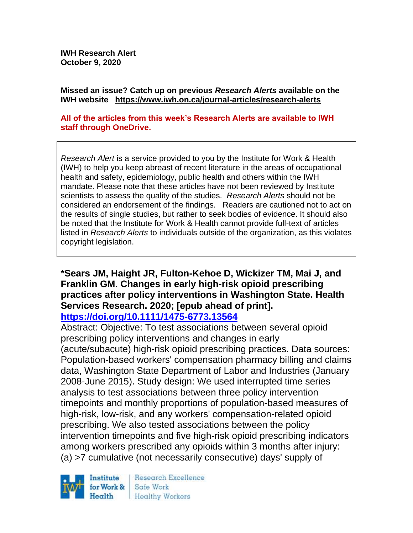**IWH Research Alert October 9, 2020**

**Missed an issue? Catch up on previous** *Research Alerts* **available on the [IWH website](http://www.iwh.on.ca/research-alerts) <https://www.iwh.on.ca/journal-articles/research-alerts>**

#### **All of the articles from this week's Research Alerts are available to IWH staff through OneDrive.**

*Research Alert* is a service provided to you by the Institute for Work & Health (IWH) to help you keep abreast of recent literature in the areas of occupational health and safety, epidemiology, public health and others within the IWH mandate. Please note that these articles have not been reviewed by Institute scientists to assess the quality of the studies. *Research Alerts* should not be considered an endorsement of the findings. Readers are cautioned not to act on the results of single studies, but rather to seek bodies of evidence. It should also be noted that the Institute for Work & Health cannot provide full-text of articles listed in *Research Alerts* to individuals outside of the organization, as this violates copyright legislation.

## **\*Sears JM, Haight JR, Fulton-Kehoe D, Wickizer TM, Mai J, and Franklin GM. Changes in early high-risk opioid prescribing practices after policy interventions in Washington State. Health Services Research. 2020; [epub ahead of print].**

#### **<https://doi.org/10.1111/1475-6773.13564>**

Abstract: Objective: To test associations between several opioid prescribing policy interventions and changes in early (acute/subacute) high-risk opioid prescribing practices. Data sources: Population-based workers' compensation pharmacy billing and claims data, Washington State Department of Labor and Industries (January 2008-June 2015). Study design: We used interrupted time series analysis to test associations between three policy intervention timepoints and monthly proportions of population-based measures of high-risk, low-risk, and any workers' compensation-related opioid prescribing. We also tested associations between the policy intervention timepoints and five high-risk opioid prescribing indicators among workers prescribed any opioids within 3 months after injury: (a) >7 cumulative (not necessarily consecutive) days' supply of



Research Excellence Safe Work **Healthy Workers**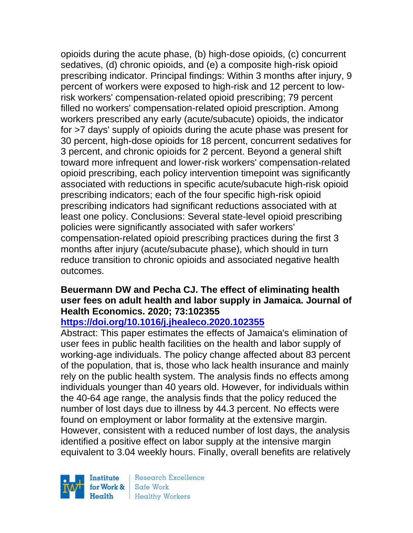opioids during the acute phase, (b) high-dose opioids, (c) concurrent sedatives, (d) chronic opioids, and (e) a composite high-risk opioid prescribing indicator. Principal findings: Within 3 months after injury, 9 percent of workers were exposed to high-risk and 12 percent to lowrisk workers' compensation-related opioid prescribing; 79 percent filled no workers' compensation-related opioid prescription. Among workers prescribed any early (acute/subacute) opioids, the indicator for >7 days' supply of opioids during the acute phase was present for 30 percent, high-dose opioids for 18 percent, concurrent sedatives for 3 percent, and chronic opioids for 2 percent. Beyond a general shift toward more infrequent and lower-risk workers' compensation-related opioid prescribing, each policy intervention timepoint was significantly associated with reductions in specific acute/subacute high-risk opioid prescribing indicators; each of the four specific high-risk opioid prescribing indicators had significant reductions associated with at least one policy. Conclusions: Several state-level opioid prescribing policies were significantly associated with safer workers' compensation-related opioid prescribing practices during the first 3 months after injury (acute/subacute phase), which should in turn reduce transition to chronic opioids and associated negative health outcomes.

### **Beuermann DW and Pecha CJ. The effect of eliminating health user fees on adult health and labor supply in Jamaica. Journal of Health Economics. 2020; 73:102355**

### **<https://doi.org/10.1016/j.jhealeco.2020.102355>**

Abstract: This paper estimates the effects of Jamaica's elimination of user fees in public health facilities on the health and labor supply of working-age individuals. The policy change affected about 83 percent of the population, that is, those who lack health insurance and mainly rely on the public health system. The analysis finds no effects among individuals younger than 40 years old. However, for individuals within the 40-64 age range, the analysis finds that the policy reduced the number of lost days due to illness by 44.3 percent. No effects were found on employment or labor formality at the extensive margin. However, consistent with a reduced number of lost days, the analysis identified a positive effect on labor supply at the intensive margin equivalent to 3.04 weekly hours. Finally, overall benefits are relatively

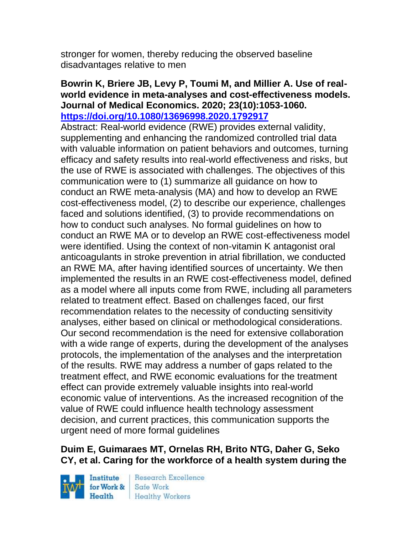stronger for women, thereby reducing the observed baseline disadvantages relative to men

#### **Bowrin K, Briere JB, Levy P, Toumi M, and Millier A. Use of realworld evidence in meta-analyses and cost-effectiveness models. Journal of Medical Economics. 2020; 23(10):1053-1060. <https://doi.org/10.1080/13696998.2020.1792917>**

Abstract: Real-world evidence (RWE) provides external validity, supplementing and enhancing the randomized controlled trial data with valuable information on patient behaviors and outcomes, turning efficacy and safety results into real-world effectiveness and risks, but the use of RWE is associated with challenges. The objectives of this communication were to (1) summarize all guidance on how to conduct an RWE meta-analysis (MA) and how to develop an RWE cost-effectiveness model, (2) to describe our experience, challenges faced and solutions identified, (3) to provide recommendations on how to conduct such analyses. No formal guidelines on how to conduct an RWE MA or to develop an RWE cost-effectiveness model were identified. Using the context of non-vitamin K antagonist oral anticoagulants in stroke prevention in atrial fibrillation, we conducted an RWE MA, after having identified sources of uncertainty. We then implemented the results in an RWE cost-effectiveness model, defined as a model where all inputs come from RWE, including all parameters related to treatment effect. Based on challenges faced, our first recommendation relates to the necessity of conducting sensitivity analyses, either based on clinical or methodological considerations. Our second recommendation is the need for extensive collaboration with a wide range of experts, during the development of the analyses protocols, the implementation of the analyses and the interpretation of the results. RWE may address a number of gaps related to the treatment effect, and RWE economic evaluations for the treatment effect can provide extremely valuable insights into real-world economic value of interventions. As the increased recognition of the value of RWE could influence health technology assessment decision, and current practices, this communication supports the urgent need of more formal guidelines

## **Duim E, Guimaraes MT, Ornelas RH, Brito NTG, Daher G, Seko CY, et al. Caring for the workforce of a health system during the**

Institute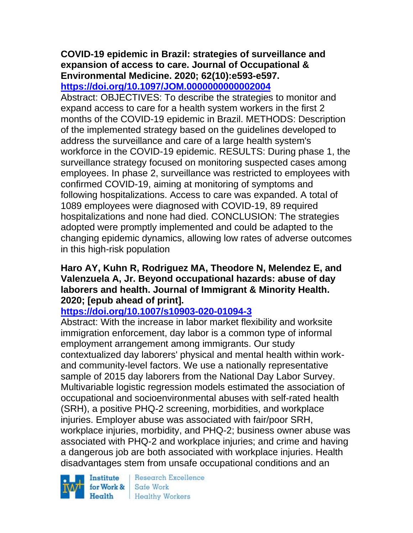# **COVID-19 epidemic in Brazil: strategies of surveillance and expansion of access to care. Journal of Occupational & Environmental Medicine. 2020; 62(10):e593-e597.**

**<https://doi.org/10.1097/JOM.0000000000002004>** 

Abstract: OBJECTIVES: To describe the strategies to monitor and expand access to care for a health system workers in the first 2 months of the COVID-19 epidemic in Brazil. METHODS: Description of the implemented strategy based on the guidelines developed to address the surveillance and care of a large health system's workforce in the COVID-19 epidemic. RESULTS: During phase 1, the surveillance strategy focused on monitoring suspected cases among employees. In phase 2, surveillance was restricted to employees with confirmed COVID-19, aiming at monitoring of symptoms and following hospitalizations. Access to care was expanded. A total of 1089 employees were diagnosed with COVID-19, 89 required hospitalizations and none had died. CONCLUSION: The strategies adopted were promptly implemented and could be adapted to the changing epidemic dynamics, allowing low rates of adverse outcomes in this high-risk population

## **Haro AY, Kuhn R, Rodriguez MA, Theodore N, Melendez E, and Valenzuela A, Jr. Beyond occupational hazards: abuse of day laborers and health. Journal of Immigrant & Minority Health. 2020; [epub ahead of print].**

## **<https://doi.org/10.1007/s10903-020-01094-3>**

Abstract: With the increase in labor market flexibility and worksite immigration enforcement, day labor is a common type of informal employment arrangement among immigrants. Our study contextualized day laborers' physical and mental health within workand community-level factors. We use a nationally representative sample of 2015 day laborers from the National Day Labor Survey. Multivariable logistic regression models estimated the association of occupational and socioenvironmental abuses with self-rated health (SRH), a positive PHQ-2 screening, morbidities, and workplace injuries. Employer abuse was associated with fair/poor SRH, workplace injuries, morbidity, and PHQ-2; business owner abuse was associated with PHQ-2 and workplace injuries; and crime and having a dangerous job are both associated with workplace injuries. Health disadvantages stem from unsafe occupational conditions and an

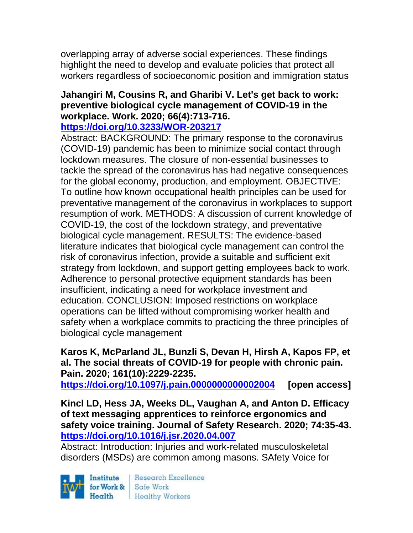overlapping array of adverse social experiences. These findings highlight the need to develop and evaluate policies that protect all workers regardless of socioeconomic position and immigration status

## **Jahangiri M, Cousins R, and Gharibi V. Let's get back to work: preventive biological cycle management of COVID-19 in the workplace. Work. 2020; 66(4):713-716.**

### **<https://doi.org/10.3233/WOR-203217>**

Abstract: BACKGROUND: The primary response to the coronavirus (COVID-19) pandemic has been to minimize social contact through lockdown measures. The closure of non-essential businesses to tackle the spread of the coronavirus has had negative consequences for the global economy, production, and employment. OBJECTIVE: To outline how known occupational health principles can be used for preventative management of the coronavirus in workplaces to support resumption of work. METHODS: A discussion of current knowledge of COVID-19, the cost of the lockdown strategy, and preventative biological cycle management. RESULTS: The evidence-based literature indicates that biological cycle management can control the risk of coronavirus infection, provide a suitable and sufficient exit strategy from lockdown, and support getting employees back to work. Adherence to personal protective equipment standards has been insufficient, indicating a need for workplace investment and education. CONCLUSION: Imposed restrictions on workplace operations can be lifted without compromising worker health and safety when a workplace commits to practicing the three principles of biological cycle management

#### **Karos K, McParland JL, Bunzli S, Devan H, Hirsh A, Kapos FP, et al. The social threats of COVID-19 for people with chronic pain. Pain. 2020; 161(10):2229-2235.**

**<https://doi.org/10.1097/j.pain.0000000000002004> [open access]**

**Kincl LD, Hess JA, Weeks DL, Vaughan A, and Anton D. Efficacy of text messaging apprentices to reinforce ergonomics and safety voice training. Journal of Safety Research. 2020; 74:35-43. <https://doi.org/10.1016/j.jsr.2020.04.007>** 

Abstract: Introduction: Injuries and work-related musculoskeletal disorders (MSDs) are common among masons. SAfety Voice for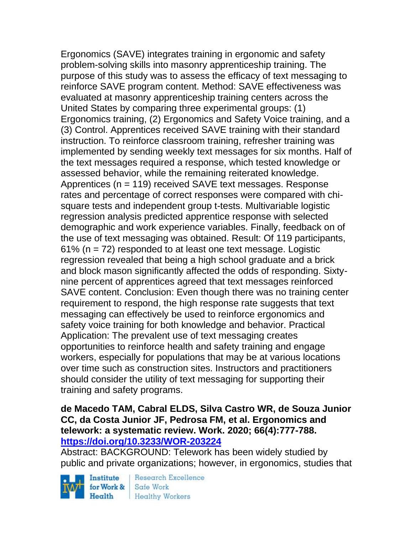Ergonomics (SAVE) integrates training in ergonomic and safety problem-solving skills into masonry apprenticeship training. The purpose of this study was to assess the efficacy of text messaging to reinforce SAVE program content. Method: SAVE effectiveness was evaluated at masonry apprenticeship training centers across the United States by comparing three experimental groups: (1) Ergonomics training, (2) Ergonomics and Safety Voice training, and a (3) Control. Apprentices received SAVE training with their standard instruction. To reinforce classroom training, refresher training was implemented by sending weekly text messages for six months. Half of the text messages required a response, which tested knowledge or assessed behavior, while the remaining reiterated knowledge. Apprentices (n = 119) received SAVE text messages. Response rates and percentage of correct responses were compared with chisquare tests and independent group t-tests. Multivariable logistic regression analysis predicted apprentice response with selected demographic and work experience variables. Finally, feedback on of the use of text messaging was obtained. Result: Of 119 participants,  $61\%$  (n = 72) responded to at least one text message. Logistic regression revealed that being a high school graduate and a brick and block mason significantly affected the odds of responding. Sixtynine percent of apprentices agreed that text messages reinforced SAVE content. Conclusion: Even though there was no training center requirement to respond, the high response rate suggests that text messaging can effectively be used to reinforce ergonomics and safety voice training for both knowledge and behavior. Practical Application: The prevalent use of text messaging creates opportunities to reinforce health and safety training and engage workers, especially for populations that may be at various locations over time such as construction sites. Instructors and practitioners should consider the utility of text messaging for supporting their training and safety programs.

### **de Macedo TAM, Cabral ELDS, Silva Castro WR, de Souza Junior CC, da Costa Junior JF, Pedrosa FM, et al. Ergonomics and telework: a systematic review. Work. 2020; 66(4):777-788. <https://doi.org/10.3233/WOR-203224>**

Abstract: BACKGROUND: Telework has been widely studied by public and private organizations; however, in ergonomics, studies that

Institute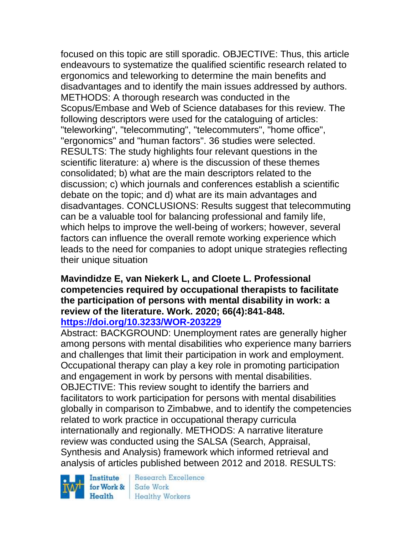focused on this topic are still sporadic. OBJECTIVE: Thus, this article endeavours to systematize the qualified scientific research related to ergonomics and teleworking to determine the main benefits and disadvantages and to identify the main issues addressed by authors. METHODS: A thorough research was conducted in the Scopus/Embase and Web of Science databases for this review. The following descriptors were used for the cataloguing of articles: "teleworking", "telecommuting", "telecommuters", "home office", "ergonomics" and "human factors". 36 studies were selected. RESULTS: The study highlights four relevant questions in the scientific literature: a) where is the discussion of these themes consolidated; b) what are the main descriptors related to the discussion; c) which journals and conferences establish a scientific debate on the topic; and d) what are its main advantages and disadvantages. CONCLUSIONS: Results suggest that telecommuting can be a valuable tool for balancing professional and family life, which helps to improve the well-being of workers; however, several factors can influence the overall remote working experience which leads to the need for companies to adopt unique strategies reflecting their unique situation

#### **Mavindidze E, van Niekerk L, and Cloete L. Professional competencies required by occupational therapists to facilitate the participation of persons with mental disability in work: a review of the literature. Work. 2020; 66(4):841-848. <https://doi.org/10.3233/WOR-203229>**

Abstract: BACKGROUND: Unemployment rates are generally higher among persons with mental disabilities who experience many barriers and challenges that limit their participation in work and employment. Occupational therapy can play a key role in promoting participation and engagement in work by persons with mental disabilities. OBJECTIVE: This review sought to identify the barriers and facilitators to work participation for persons with mental disabilities globally in comparison to Zimbabwe, and to identify the competencies related to work practice in occupational therapy curricula internationally and regionally. METHODS: A narrative literature review was conducted using the SALSA (Search, Appraisal, Synthesis and Analysis) framework which informed retrieval and analysis of articles published between 2012 and 2018. RESULTS:

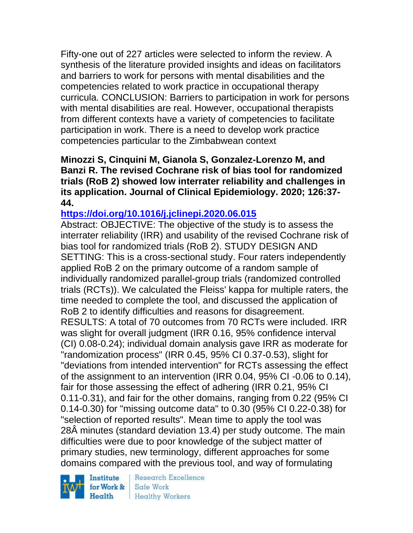Fifty-one out of 227 articles were selected to inform the review. A synthesis of the literature provided insights and ideas on facilitators and barriers to work for persons with mental disabilities and the competencies related to work practice in occupational therapy curricula. CONCLUSION: Barriers to participation in work for persons with mental disabilities are real. However, occupational therapists from different contexts have a variety of competencies to facilitate participation in work. There is a need to develop work practice competencies particular to the Zimbabwean context

**Minozzi S, Cinquini M, Gianola S, Gonzalez-Lorenzo M, and Banzi R. The revised Cochrane risk of bias tool for randomized trials (RoB 2) showed low interrater reliability and challenges in its application. Journal of Clinical Epidemiology. 2020; 126:37- 44.** 

## **<https://doi.org/10.1016/j.jclinepi.2020.06.015>**

Abstract: OBJECTIVE: The objective of the study is to assess the interrater reliability (IRR) and usability of the revised Cochrane risk of bias tool for randomized trials (RoB 2). STUDY DESIGN AND SETTING: This is a cross-sectional study. Four raters independently applied RoB 2 on the primary outcome of a random sample of individually randomized parallel-group trials (randomized controlled trials (RCTs)). We calculated the Fleiss' kappa for multiple raters, the time needed to complete the tool, and discussed the application of RoB 2 to identify difficulties and reasons for disagreement. RESULTS: A total of 70 outcomes from 70 RCTs were included. IRR was slight for overall judgment (IRR 0.16, 95% confidence interval (CI) 0.08-0.24); individual domain analysis gave IRR as moderate for "randomization process" (IRR 0.45, 95% CI 0.37-0.53), slight for "deviations from intended intervention" for RCTs assessing the effect of the assignment to an intervention (IRR 0.04, 95% CI -0.06 to 0.14), fair for those assessing the effect of adhering (IRR 0.21, 95% CI 0.11-0.31), and fair for the other domains, ranging from 0.22 (95% CI 0.14-0.30) for "missing outcome data" to 0.30 (95% CI 0.22-0.38) for "selection of reported results". Mean time to apply the tool was 28Â minutes (standard deviation 13.4) per study outcome. The main difficulties were due to poor knowledge of the subject matter of primary studies, new terminology, different approaches for some domains compared with the previous tool, and way of formulating

Institute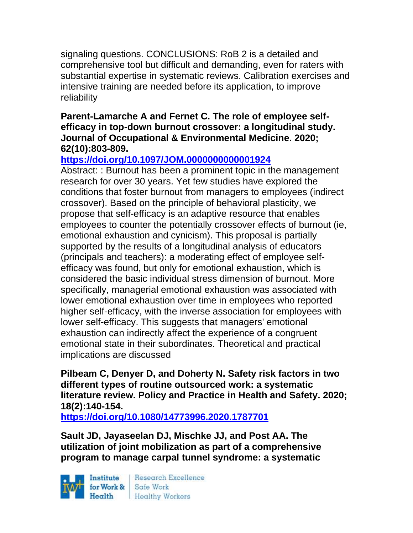signaling questions. CONCLUSIONS: RoB 2 is a detailed and comprehensive tool but difficult and demanding, even for raters with substantial expertise in systematic reviews. Calibration exercises and intensive training are needed before its application, to improve reliability

### **Parent-Lamarche A and Fernet C. The role of employee selfefficacy in top-down burnout crossover: a longitudinal study. Journal of Occupational & Environmental Medicine. 2020; 62(10):803-809.**

## **<https://doi.org/10.1097/JOM.0000000000001924>**

Abstract: : Burnout has been a prominent topic in the management research for over 30 years. Yet few studies have explored the conditions that foster burnout from managers to employees (indirect crossover). Based on the principle of behavioral plasticity, we propose that self-efficacy is an adaptive resource that enables employees to counter the potentially crossover effects of burnout (ie, emotional exhaustion and cynicism). This proposal is partially supported by the results of a longitudinal analysis of educators (principals and teachers): a moderating effect of employee selfefficacy was found, but only for emotional exhaustion, which is considered the basic individual stress dimension of burnout. More specifically, managerial emotional exhaustion was associated with lower emotional exhaustion over time in employees who reported higher self-efficacy, with the inverse association for employees with lower self-efficacy. This suggests that managers' emotional exhaustion can indirectly affect the experience of a congruent emotional state in their subordinates. Theoretical and practical implications are discussed

**Pilbeam C, Denyer D, and Doherty N. Safety risk factors in two different types of routine outsourced work: a systematic literature review. Policy and Practice in Health and Safety. 2020; 18(2):140-154.** 

**<https://doi.org/10.1080/14773996.2020.1787701>** 

**Sault JD, Jayaseelan DJ, Mischke JJ, and Post AA. The utilization of joint mobilization as part of a comprehensive program to manage carpal tunnel syndrome: a systematic** 

Institute Health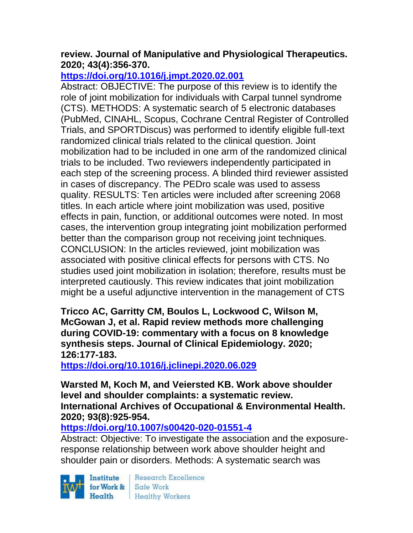## **review. Journal of Manipulative and Physiological Therapeutics. 2020; 43(4):356-370.**

## **<https://doi.org/10.1016/j.jmpt.2020.02.001>**

Abstract: OBJECTIVE: The purpose of this review is to identify the role of joint mobilization for individuals with Carpal tunnel syndrome (CTS). METHODS: A systematic search of 5 electronic databases (PubMed, CINAHL, Scopus, Cochrane Central Register of Controlled Trials, and SPORTDiscus) was performed to identify eligible full-text randomized clinical trials related to the clinical question. Joint mobilization had to be included in one arm of the randomized clinical trials to be included. Two reviewers independently participated in each step of the screening process. A blinded third reviewer assisted in cases of discrepancy. The PEDro scale was used to assess quality. RESULTS: Ten articles were included after screening 2068 titles. In each article where joint mobilization was used, positive effects in pain, function, or additional outcomes were noted. In most cases, the intervention group integrating joint mobilization performed better than the comparison group not receiving joint techniques. CONCLUSION: In the articles reviewed, joint mobilization was associated with positive clinical effects for persons with CTS. No studies used joint mobilization in isolation; therefore, results must be interpreted cautiously. This review indicates that joint mobilization might be a useful adjunctive intervention in the management of CTS

**Tricco AC, Garritty CM, Boulos L, Lockwood C, Wilson M, McGowan J, et al. Rapid review methods more challenging during COVID-19: commentary with a focus on 8 knowledge synthesis steps. Journal of Clinical Epidemiology. 2020; 126:177-183.** 

**<https://doi.org/10.1016/j.jclinepi.2020.06.029>** 

**Warsted M, Koch M, and Veiersted KB. Work above shoulder level and shoulder complaints: a systematic review. International Archives of Occupational & Environmental Health. 2020; 93(8):925-954.** 

**<https://doi.org/10.1007/s00420-020-01551-4>** 

Abstract: Objective: To investigate the association and the exposureresponse relationship between work above shoulder height and shoulder pain or disorders. Methods: A systematic search was

Institute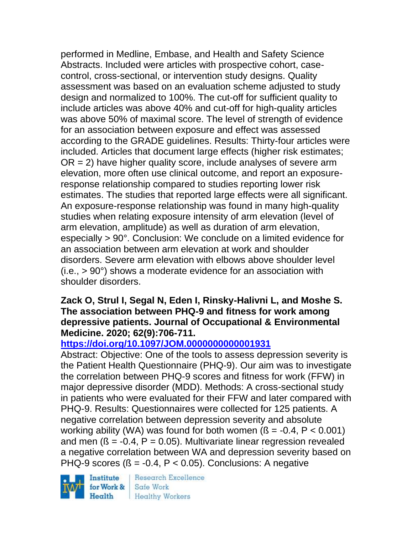performed in Medline, Embase, and Health and Safety Science Abstracts. Included were articles with prospective cohort, casecontrol, cross-sectional, or intervention study designs. Quality assessment was based on an evaluation scheme adjusted to study design and normalized to 100%. The cut-off for sufficient quality to include articles was above 40% and cut-off for high-quality articles was above 50% of maximal score. The level of strength of evidence for an association between exposure and effect was assessed according to the GRADE guidelines. Results: Thirty-four articles were included. Articles that document large effects (higher risk estimates;  $OR = 2$ ) have higher quality score, include analyses of severe arm elevation, more often use clinical outcome, and report an exposureresponse relationship compared to studies reporting lower risk estimates. The studies that reported large effects were all significant. An exposure-response relationship was found in many high-quality studies when relating exposure intensity of arm elevation (level of arm elevation, amplitude) as well as duration of arm elevation, especially > 90°. Conclusion: We conclude on a limited evidence for an association between arm elevation at work and shoulder disorders. Severe arm elevation with elbows above shoulder level  $(i.e., > 90^\circ)$  shows a moderate evidence for an association with shoulder disorders.

#### **Zack O, Strul I, Segal N, Eden I, Rinsky-Halivni L, and Moshe S. The association between PHQ-9 and fitness for work among depressive patients. Journal of Occupational & Environmental Medicine. 2020; 62(9):706-711.**

## **<https://doi.org/10.1097/JOM.0000000000001931>**

Abstract: Objective: One of the tools to assess depression severity is the Patient Health Questionnaire (PHQ-9). Our aim was to investigate the correlation between PHQ-9 scores and fitness for work (FFW) in major depressive disorder (MDD). Methods: A cross-sectional study in patients who were evaluated for their FFW and later compared with PHQ-9. Results: Questionnaires were collected for 125 patients. A negative correlation between depression severity and absolute working ability (WA) was found for both women  $(S = -0.4, P < 0.001)$ and men  $(S = -0.4, P = 0.05)$ . Multivariate linear regression revealed a negative correlation between WA and depression severity based on PHQ-9 scores  $(S = -0.4, P < 0.05)$ . Conclusions: A negative